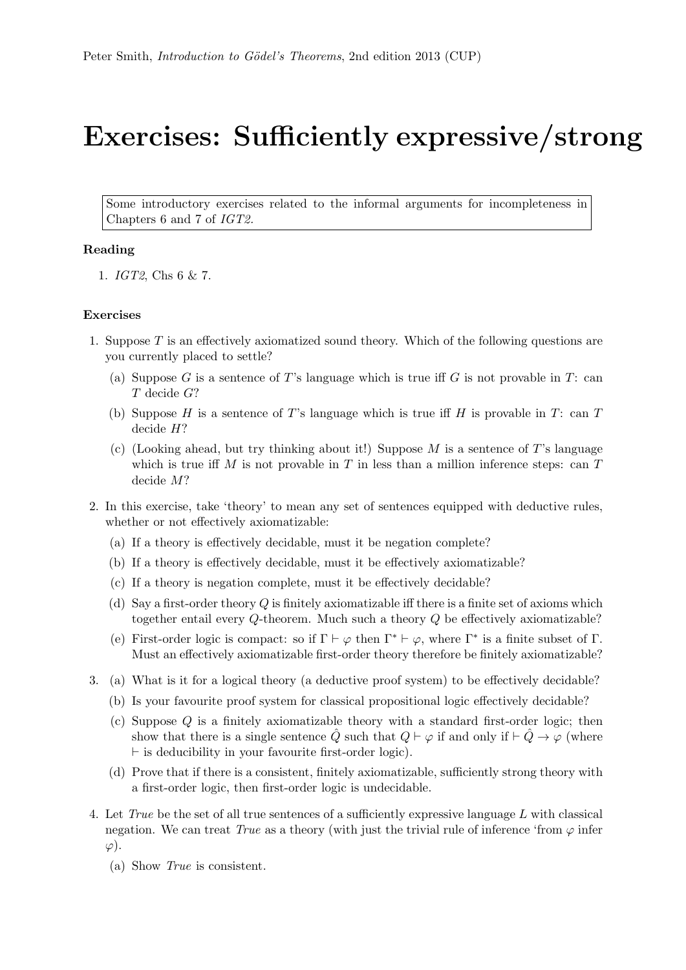## Exercises: Sufficiently expressive/strong

Some introductory exercises related to the informal arguments for incompleteness in Chapters 6 and 7 of IGT2.

## Reading

1. IGT2, Chs 6 & 7.

## Exercises

- 1. Suppose T is an effectively axiomatized sound theory. Which of the following questions are you currently placed to settle?
	- (a) Suppose G is a sentence of T's language which is true iff G is not provable in T: can T decide G?
	- (b) Suppose H is a sentence of T's language which is true iff H is provable in T: can T decide H?
	- (c) (Looking ahead, but try thinking about it!) Suppose  $M$  is a sentence of T's language which is true iff M is not provable in T in less than a million inference steps: can  $T$ decide M?
- 2. In this exercise, take 'theory' to mean any set of sentences equipped with deductive rules, whether or not effectively axiomatizable:
	- (a) If a theory is effectively decidable, must it be negation complete?
	- (b) If a theory is effectively decidable, must it be effectively axiomatizable?
	- (c) If a theory is negation complete, must it be effectively decidable?
	- (d) Say a first-order theory  $Q$  is finitely axiomatizable iff there is a finite set of axioms which together entail every Q-theorem. Much such a theory Q be effectively axiomatizable?
	- (e) First-order logic is compact: so if  $\Gamma \vdash \varphi$  then  $\Gamma^* \vdash \varphi$ , where  $\Gamma^*$  is a finite subset of  $\Gamma$ . Must an effectively axiomatizable first-order theory therefore be finitely axiomatizable?
- 3. (a) What is it for a logical theory (a deductive proof system) to be effectively decidable?
	- (b) Is your favourite proof system for classical propositional logic effectively decidable?
	- (c) Suppose Q is a finitely axiomatizable theory with a standard first-order logic; then show that there is a single sentence  $\hat{Q}$  such that  $Q \vdash \varphi$  if and only if  $\vdash \hat{Q} \rightarrow \varphi$  (where  $\vdash$  is deducibility in your favourite first-order logic).
	- (d) Prove that if there is a consistent, finitely axiomatizable, sufficiently strong theory with a first-order logic, then first-order logic is undecidable.
- 4. Let True be the set of all true sentences of a sufficiently expressive language L with classical negation. We can treat True as a theory (with just the trivial rule of inference 'from  $\varphi$  infer  $\varphi$ ).
	- (a) Show True is consistent.